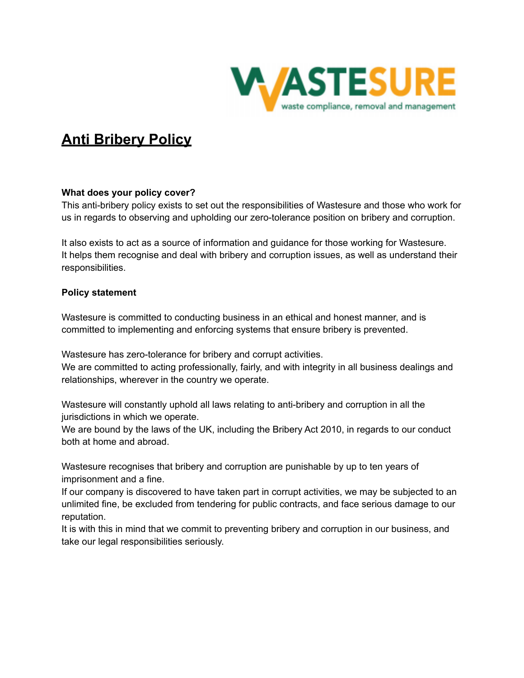

# **Anti Bribery Policy**

## **What does your policy cover?**

This anti-bribery policy exists to set out the responsibilities of Wastesure and those who work for us in regards to observing and upholding our zero-tolerance position on bribery and corruption.

It also exists to act as a source of information and guidance for those working for Wastesure. It helps them recognise and deal with bribery and corruption issues, as well as understand their responsibilities.

## **Policy statement**

Wastesure is committed to conducting business in an ethical and honest manner, and is committed to implementing and enforcing systems that ensure bribery is prevented.

Wastesure has zero-tolerance for bribery and corrupt activities.

We are committed to acting professionally, fairly, and with integrity in all business dealings and relationships, wherever in the country we operate.

Wastesure will constantly uphold all laws relating to anti-bribery and corruption in all the jurisdictions in which we operate.

We are bound by the laws of the UK, including the Bribery Act 2010, in regards to our conduct both at home and abroad.

Wastesure recognises that bribery and corruption are punishable by up to ten years of imprisonment and a fine.

If our company is discovered to have taken part in corrupt activities, we may be subjected to an unlimited fine, be excluded from tendering for public contracts, and face serious damage to our reputation.

It is with this in mind that we commit to preventing bribery and corruption in our business, and take our legal responsibilities seriously.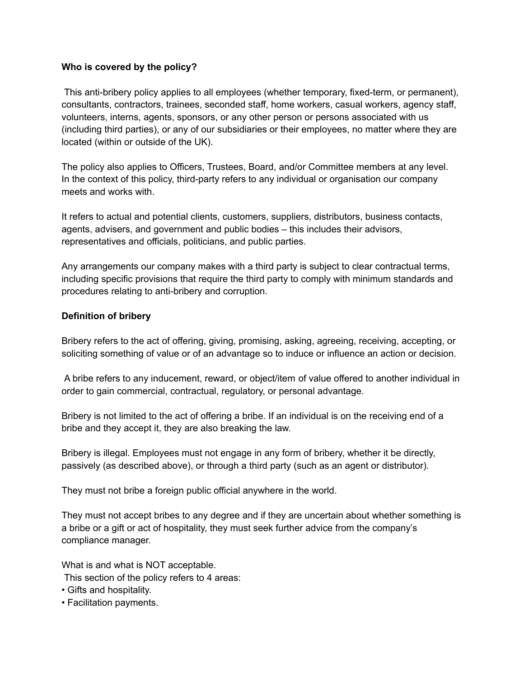### **Who is covered by the policy?**

This anti-bribery policy applies to all employees (whether temporary, fixed-term, or permanent), consultants, contractors, trainees, seconded staff, home workers, casual workers, agency staff, volunteers, interns, agents, sponsors, or any other person or persons associated with us (including third parties), or any of our subsidiaries or their employees, no matter where they are located (within or outside of the UK).

The policy also applies to Officers, Trustees, Board, and/or Committee members at any level. In the context of this policy, third-party refers to any individual or organisation our company meets and works with.

It refers to actual and potential clients, customers, suppliers, distributors, business contacts, agents, advisers, and government and public bodies – this includes their advisors, representatives and officials, politicians, and public parties.

Any arrangements our company makes with a third party is subject to clear contractual terms, including specific provisions that require the third party to comply with minimum standards and procedures relating to anti-bribery and corruption.

## **Definition of bribery**

Bribery refers to the act of offering, giving, promising, asking, agreeing, receiving, accepting, or soliciting something of value or of an advantage so to induce or influence an action or decision.

A bribe refers to any inducement, reward, or object/item of value offered to another individual in order to gain commercial, contractual, regulatory, or personal advantage.

Bribery is not limited to the act of offering a bribe. If an individual is on the receiving end of a bribe and they accept it, they are also breaking the law.

Bribery is illegal. Employees must not engage in any form of bribery, whether it be directly, passively (as described above), or through a third party (such as an agent or distributor).

They must not bribe a foreign public official anywhere in the world.

They must not accept bribes to any degree and if they are uncertain about whether something is a bribe or a gift or act of hospitality, they must seek further advice from the company's compliance manager.

What is and what is NOT acceptable.

This section of the policy refers to 4 areas:

- Gifts and hospitality.
- Facilitation payments.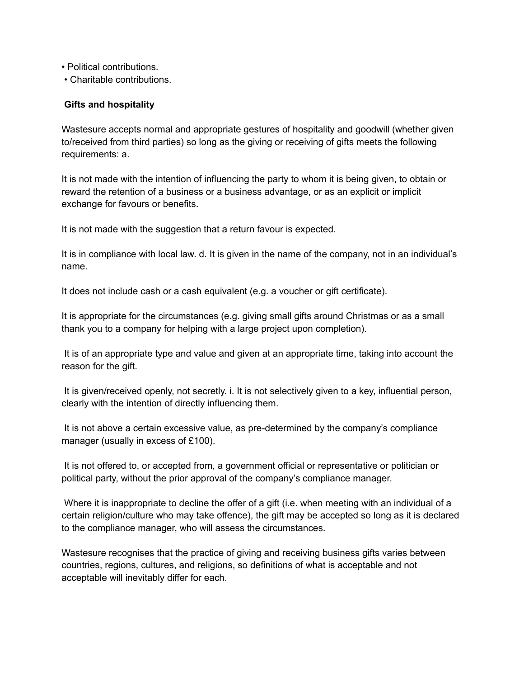- Political contributions.
- Charitable contributions.

### **Gifts and hospitality**

Wastesure accepts normal and appropriate gestures of hospitality and goodwill (whether given to/received from third parties) so long as the giving or receiving of gifts meets the following requirements: a.

It is not made with the intention of influencing the party to whom it is being given, to obtain or reward the retention of a business or a business advantage, or as an explicit or implicit exchange for favours or benefits.

It is not made with the suggestion that a return favour is expected.

It is in compliance with local law. d. It is given in the name of the company, not in an individual's name.

It does not include cash or a cash equivalent (e.g. a voucher or gift certificate).

It is appropriate for the circumstances (e.g. giving small gifts around Christmas or as a small thank you to a company for helping with a large project upon completion).

It is of an appropriate type and value and given at an appropriate time, taking into account the reason for the gift.

It is given/received openly, not secretly. i. It is not selectively given to a key, influential person, clearly with the intention of directly influencing them.

It is not above a certain excessive value, as pre-determined by the company's compliance manager (usually in excess of £100).

It is not offered to, or accepted from, a government official or representative or politician or political party, without the prior approval of the company's compliance manager.

Where it is inappropriate to decline the offer of a gift (i.e. when meeting with an individual of a certain religion/culture who may take offence), the gift may be accepted so long as it is declared to the compliance manager, who will assess the circumstances.

Wastesure recognises that the practice of giving and receiving business gifts varies between countries, regions, cultures, and religions, so definitions of what is acceptable and not acceptable will inevitably differ for each.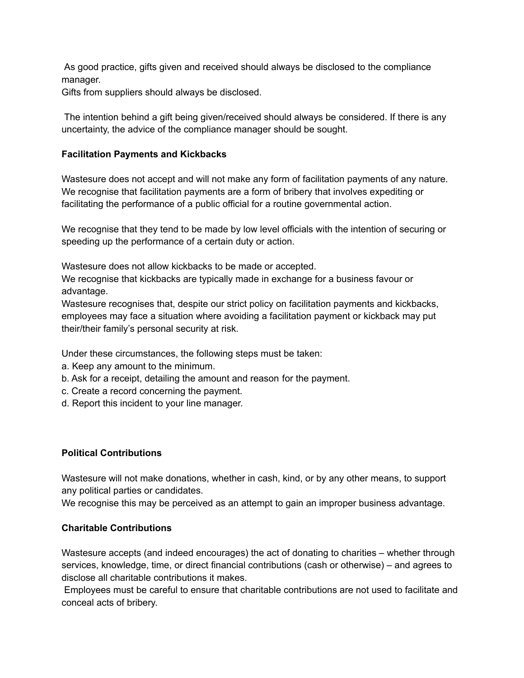As good practice, gifts given and received should always be disclosed to the compliance manager.

Gifts from suppliers should always be disclosed.

The intention behind a gift being given/received should always be considered. If there is any uncertainty, the advice of the compliance manager should be sought.

### **Facilitation Payments and Kickbacks**

Wastesure does not accept and will not make any form of facilitation payments of any nature. We recognise that facilitation payments are a form of bribery that involves expediting or facilitating the performance of a public official for a routine governmental action.

We recognise that they tend to be made by low level officials with the intention of securing or speeding up the performance of a certain duty or action.

Wastesure does not allow kickbacks to be made or accepted.

We recognise that kickbacks are typically made in exchange for a business favour or advantage.

Wastesure recognises that, despite our strict policy on facilitation payments and kickbacks, employees may face a situation where avoiding a facilitation payment or kickback may put their/their family's personal security at risk.

Under these circumstances, the following steps must be taken:

- a. Keep any amount to the minimum.
- b. Ask for a receipt, detailing the amount and reason for the payment.
- c. Create a record concerning the payment.
- d. Report this incident to your line manager.

### **Political Contributions**

Wastesure will not make donations, whether in cash, kind, or by any other means, to support any political parties or candidates.

We recognise this may be perceived as an attempt to gain an improper business advantage.

### **Charitable Contributions**

Wastesure accepts (and indeed encourages) the act of donating to charities – whether through services, knowledge, time, or direct financial contributions (cash or otherwise) – and agrees to disclose all charitable contributions it makes.

Employees must be careful to ensure that charitable contributions are not used to facilitate and conceal acts of bribery.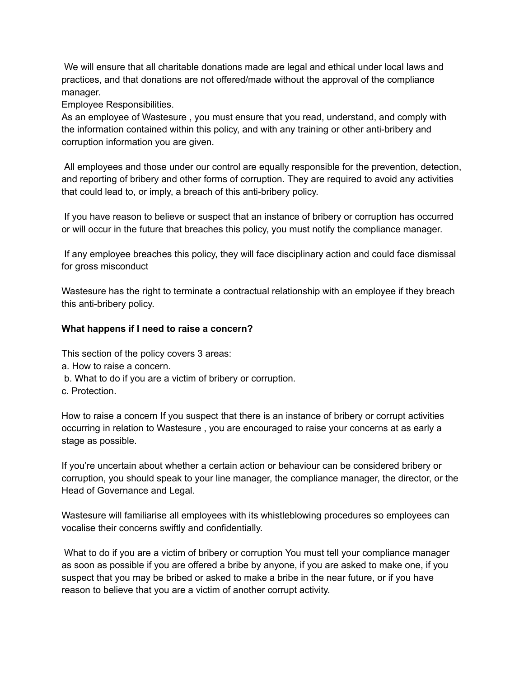We will ensure that all charitable donations made are legal and ethical under local laws and practices, and that donations are not offered/made without the approval of the compliance manager.

Employee Responsibilities.

As an employee of Wastesure , you must ensure that you read, understand, and comply with the information contained within this policy, and with any training or other anti-bribery and corruption information you are given.

All employees and those under our control are equally responsible for the prevention, detection, and reporting of bribery and other forms of corruption. They are required to avoid any activities that could lead to, or imply, a breach of this anti-bribery policy.

If you have reason to believe or suspect that an instance of bribery or corruption has occurred or will occur in the future that breaches this policy, you must notify the compliance manager.

If any employee breaches this policy, they will face disciplinary action and could face dismissal for gross misconduct

Wastesure has the right to terminate a contractual relationship with an employee if they breach this anti-bribery policy.

## **What happens if I need to raise a concern?**

This section of the policy covers 3 areas:

- a. How to raise a concern.
- b. What to do if you are a victim of bribery or corruption.
- c. Protection.

How to raise a concern If you suspect that there is an instance of bribery or corrupt activities occurring in relation to Wastesure , you are encouraged to raise your concerns at as early a stage as possible.

If you're uncertain about whether a certain action or behaviour can be considered bribery or corruption, you should speak to your line manager, the compliance manager, the director, or the Head of Governance and Legal.

Wastesure will familiarise all employees with its whistleblowing procedures so employees can vocalise their concerns swiftly and confidentially.

What to do if you are a victim of bribery or corruption You must tell your compliance manager as soon as possible if you are offered a bribe by anyone, if you are asked to make one, if you suspect that you may be bribed or asked to make a bribe in the near future, or if you have reason to believe that you are a victim of another corrupt activity.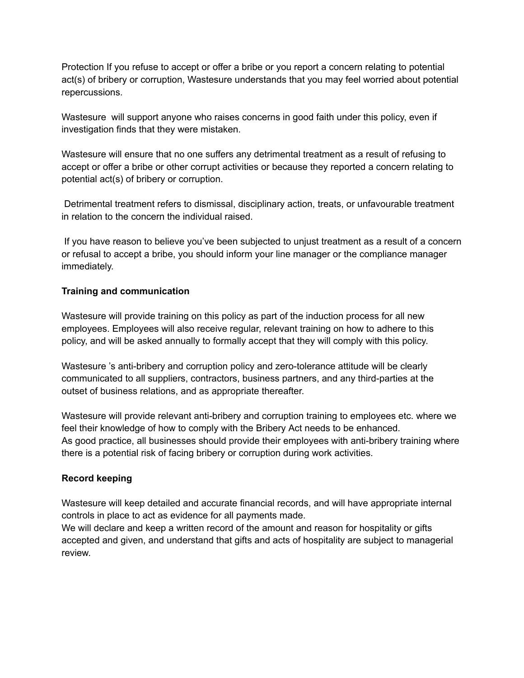Protection If you refuse to accept or offer a bribe or you report a concern relating to potential act(s) of bribery or corruption, Wastesure understands that you may feel worried about potential repercussions.

Wastesure will support anyone who raises concerns in good faith under this policy, even if investigation finds that they were mistaken.

Wastesure will ensure that no one suffers any detrimental treatment as a result of refusing to accept or offer a bribe or other corrupt activities or because they reported a concern relating to potential act(s) of bribery or corruption.

Detrimental treatment refers to dismissal, disciplinary action, treats, or unfavourable treatment in relation to the concern the individual raised.

If you have reason to believe you've been subjected to unjust treatment as a result of a concern or refusal to accept a bribe, you should inform your line manager or the compliance manager immediately.

## **Training and communication**

Wastesure will provide training on this policy as part of the induction process for all new employees. Employees will also receive regular, relevant training on how to adhere to this policy, and will be asked annually to formally accept that they will comply with this policy.

Wastesure 's anti-bribery and corruption policy and zero-tolerance attitude will be clearly communicated to all suppliers, contractors, business partners, and any third-parties at the outset of business relations, and as appropriate thereafter.

Wastesure will provide relevant anti-bribery and corruption training to employees etc. where we feel their knowledge of how to comply with the Bribery Act needs to be enhanced. As good practice, all businesses should provide their employees with anti-bribery training where there is a potential risk of facing bribery or corruption during work activities.

## **Record keeping**

Wastesure will keep detailed and accurate financial records, and will have appropriate internal controls in place to act as evidence for all payments made.

We will declare and keep a written record of the amount and reason for hospitality or gifts accepted and given, and understand that gifts and acts of hospitality are subject to managerial review.